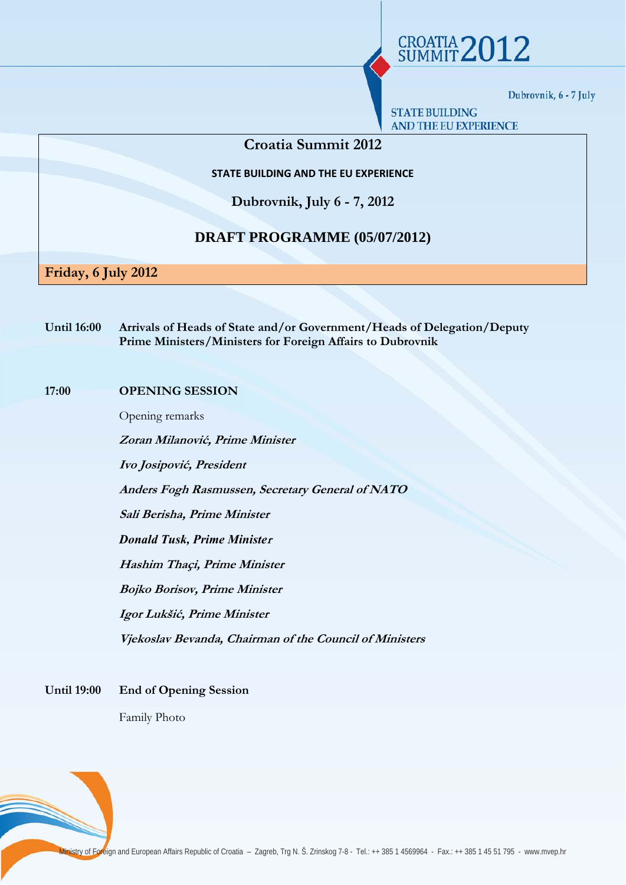**STATE BUILDING AND THE EU EXPERIENCE** 

**CROATIA 2012** 

# **Croatia Summit 2012**

**STATE BUILDING AND THE EU EXPERIENCE**

**Dubrovnik, July 6 - 7, 2012** 

# **DRAFT PROGRAMME (05/07/2012)**

**Friday, 6 July 2012** 

**Until 16:00 Arrivals of Heads of State and/or Government/Heads of Delegation/Deputy Prime Ministers/Ministers for Foreign Affairs to Dubrovnik** 

# **17:00 OPENING SESSION**

Opening remarks

**Zoran Milanović, Prime Minister** 

**Ivo Josipović, President** 

**Anders Fogh Rasmussen, Secretary General of NATO** 

**Sali Berisha, Prime Minister** 

*Donald Tusk, Prime Ministe***<sup>r</sup>**

**Hashim Thaçi, Prime Minister** 

**Bojko Borisov, Prime Minister** 

**Igor Lukšić, Prime Minister** 

**Vjekoslav Bevanda, Chairman of the Council of Ministers** 

**Until 19:00 End of Opening Session** 

Family Photo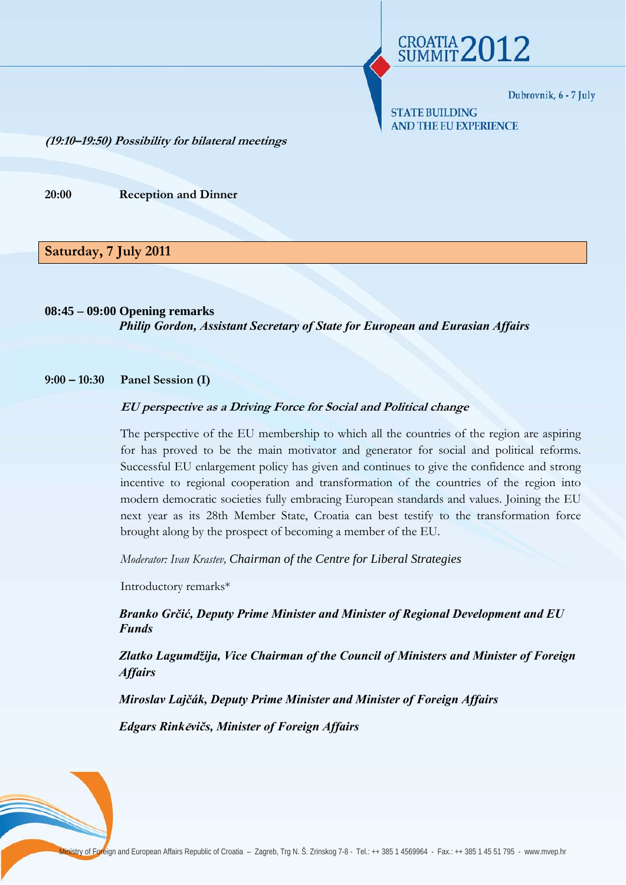**CROATIA 2012** 

**STATE BUILDING AND THE EU EXPERIENCE** 

**(19:10–19:50) Possibility for bilateral meetings**

**20:00 Reception and Dinner** 

# **Saturday, 7 July 2011**

**08:45 – 09:00 Opening remarks**  *Philip Gordon, Assistant Secretary of State for European and Eurasian Affairs* 

#### **9:00 – 10:30 Panel Session (I)**

#### **EU perspective as a Driving Force for Social and Political change**

The perspective of the EU membership to which all the countries of the region are aspiring for has proved to be the main motivator and generator for social and political reforms. Successful EU enlargement policy has given and continues to give the confidence and strong incentive to regional cooperation and transformation of the countries of the region into modern democratic societies fully embracing European standards and values. Joining the EU next year as its 28th Member State, Croatia can best testify to the transformation force brought along by the prospect of becoming a member of the EU.

*Moderator: Ivan Krastev, Chairman of the Centre for Liberal Strategies*

Introductory remarks\*

*Branko Grčić, Deputy Prime Minister and Minister of Regional Development and EU Funds* 

*Zlatko Lagumdžija, Vice Chairman of the Council of Ministers and Minister of Foreign Affairs* 

*Miroslav Lajčák, Deputy Prime Minister and Minister of Foreign Affairs* 

*Edgars Rink***ē***vičs, Minister of Foreign Affairs*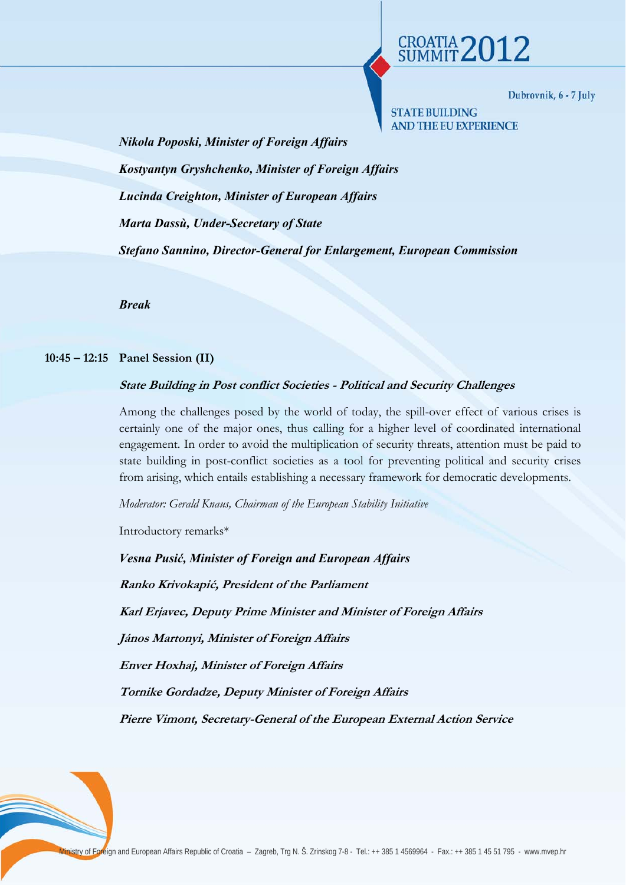**CROATIA 2012** 

**STATE BUILDING AND THE EU EXPERIENCE** 

*Nikola Poposki, Minister of Foreign Affairs Kostyantyn Gryshchenko, Minister of Foreign Affairs Lucinda Creighton, Minister of European Affairs Marta Dassù, Under-Secretary of State Stefano Sannino, Director-General for Enlargement, European Commission* 

*Break* 

### **10:45 – 12:15 Panel Session (II)**

## **State Building in Post conflict Societies - Political and Security Challenges**

Among the challenges posed by the world of today, the spill-over effect of various crises is certainly one of the major ones, thus calling for a higher level of coordinated international engagement. In order to avoid the multiplication of security threats, attention must be paid to state building in post-conflict societies as a tool for preventing political and security crises from arising, which entails establishing a necessary framework for democratic developments.

*Moderator: Gerald Knaus, Chairman of the European Stability Initiative*

Introductory remarks\*

*Vesna Pusić, Minister of Foreign and European Affairs*  **Ranko Krivokapić, President of the Parliament Karl Erjavec, Deputy Prime Minister and Minister of Foreign Affairs János Martonyi, Minister of Foreign Affairs Enver Hoxhaj, Minister of Foreign Affairs Tornike Gordadze, Deputy Minister of Foreign Affairs Pierre Vimont, Secretary-General of the European External Action Service**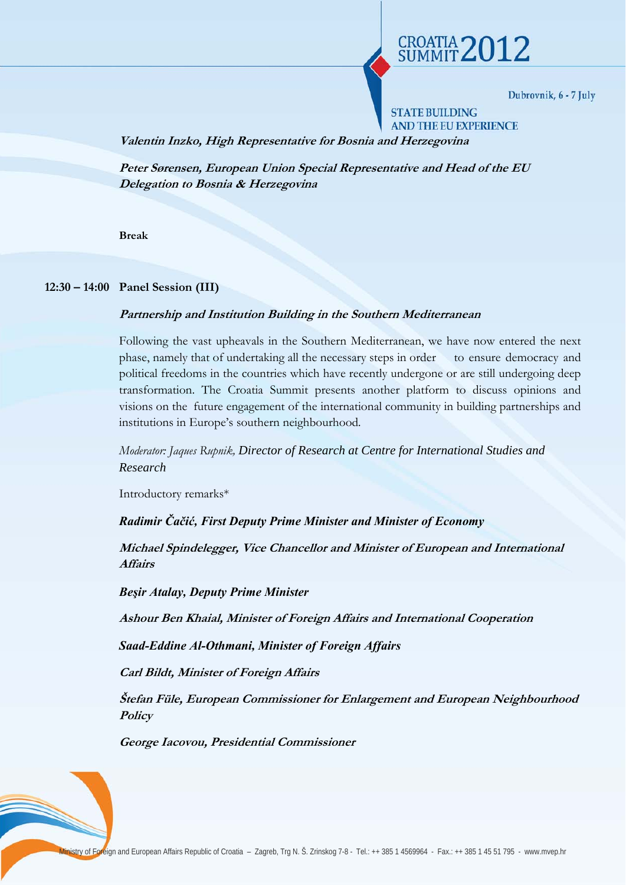CROATIA 2012

**STATE BUILDING AND THE EU EXPERIENCE** 

**Valentin Inzko, High Representative for Bosnia and Herzegovina** 

**Peter Sørensen, European Union Special Representative and Head of the EU Delegation to Bosnia & Herzegovina** 

**Break** 

## **12:30 – 14:00 Panel Session (III)**

## **Partnership and Institution Building in the Southern Mediterranean**

Following the vast upheavals in the Southern Mediterranean, we have now entered the next phase, namely that of undertaking all the necessary steps in order to ensure democracy and political freedoms in the countries which have recently undergone or are still undergoing deep transformation. The Croatia Summit presents another platform to discuss opinions and visions on the future engagement of the international community in building partnerships and institutions in Europe's southern neighbourhood*.* 

*Moderator: Jaques Rupnik, Director of Research at Centre for International Studies and Research*

Introductory remarks\*

*Radimir Čačić, First Deputy Prime Minister and Minister of Economy* 

**Michael Spindelegger, Vice Chancellor and Minister of European and International Affairs** 

*Beşir Atalay, Deputy Prime Minister* 

**Ashour Ben Khaial, Minister of Foreign Affairs and International Cooperation**

*Saad-Eddine Al-Othmani, Minister of Foreign Affairs* 

**Carl Bildt, Minister of Foreign Affairs**

**Štefan Füle, European Commissioner for Enlargement and European Neighbourhood Policy** 

**George Iacovou, Presidential Commissioner**